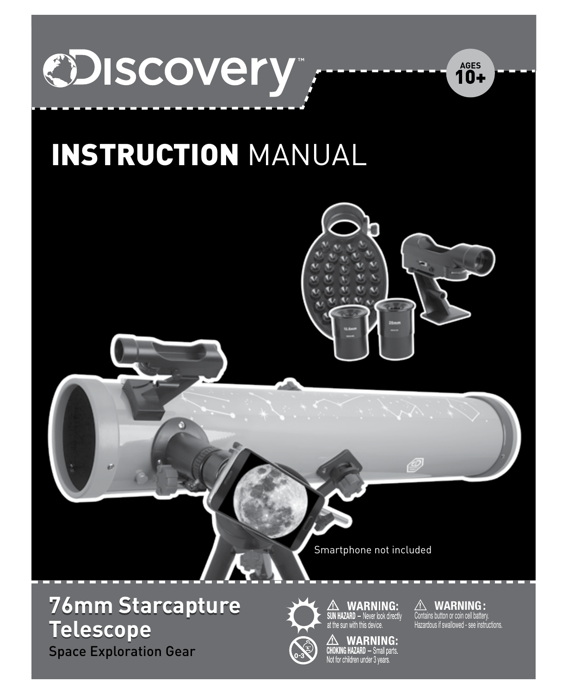

# INSTRUCTION MANUAL

Smartphone not included

Space Exploration Gear **76mm Starcapture 76mm Starcapture Telescope Telescope**

 $\widehat{\triangle}$  **WARNING:**<br>SIIN HA7ARD – Never Inck direct).

/<u>/ N</u>**WARNING:**<br>Contains button or coin cell battery.<br>Hazardous if swallowed - see instructions. **!**

10+ **AGES**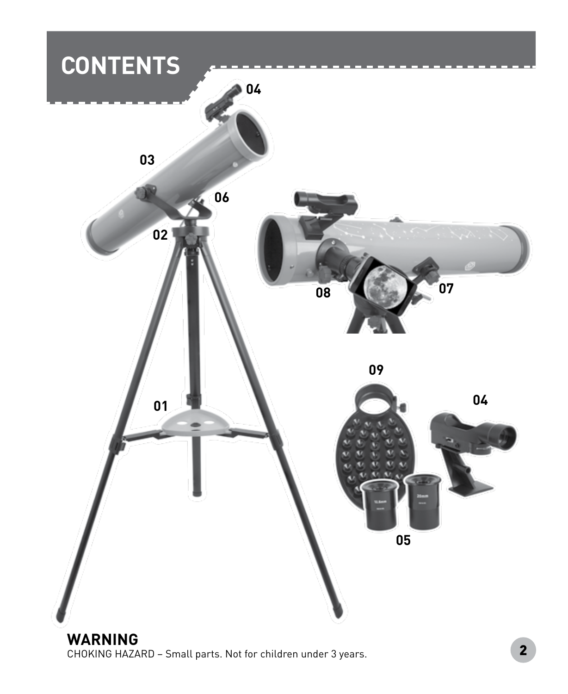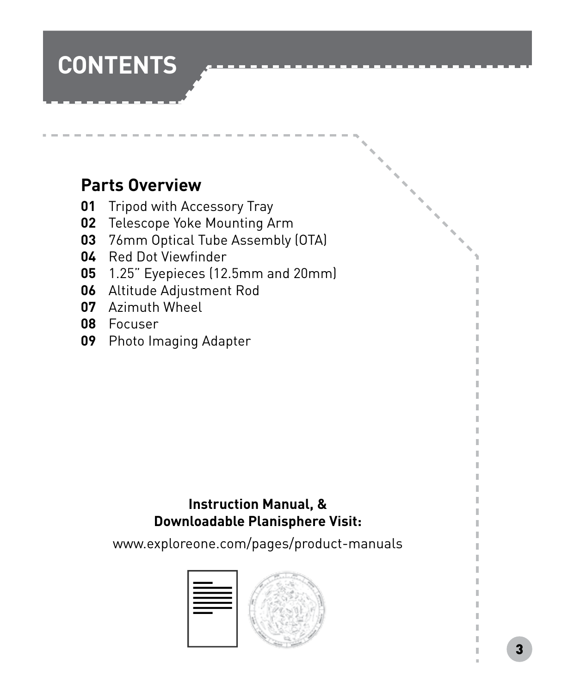## **CONTENTS**

#### **Parts Overview**

- **01** Tripod with Accessory Tray
- Telescope Yoke Mounting Arm **02**
- 76mm Optical Tube Assembly (OTA) **03**
- 04 Red Dot Viewfinder
- 1.25" Eyepieces (12.5mm and 20mm) **05**
- Altitude Adjustment Rod **06**
- 07 Azimuth Wheel
- Focuser **08**
- **09** Photo Imaging Adapter

#### **Instruction Manual, & Downloadable Planisphere Visit:**

www.exploreone.com/pages/product-manuals



**Contents**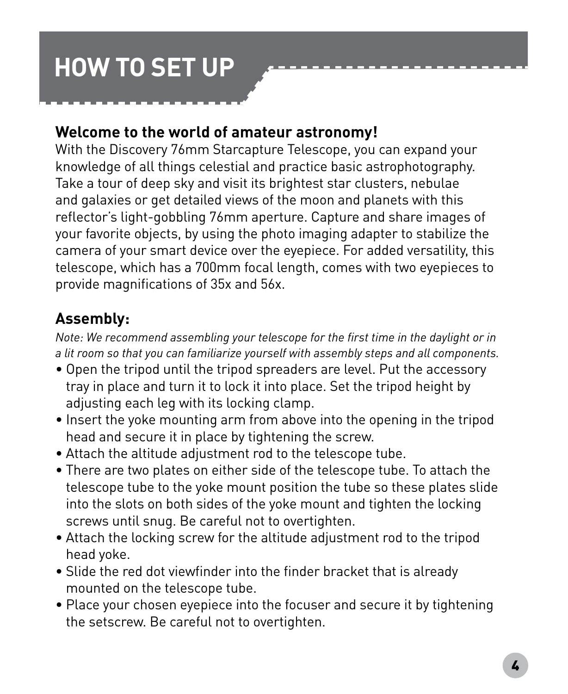## **HOW TO SET UP**

#### **Welcome to the world of amateur astronomy!**

With the Discovery 76mm Starcapture Telescope, you can expand your knowledge of all things celestial and practice basic astrophotography. Take a tour of deep sky and visit its brightest star clusters, nebulae and galaxies or get detailed views of the moon and planets with this reflector's light-gobbling 76mm aperture. Capture and share images of your favorite objects, by using the photo imaging adapter to stabilize the camera of your smart device over the eyepiece. For added versatility, this telescope, which has a 700mm focal length, comes with two eyepieces to provide magnifications of 35x and 56x.

#### **Assembly:**

*Note: We recommend assembling your telescope for the first time in the daylight or in a lit room so that you can familiarize yourself with assembly steps and all components.*

- Open the tripod until the tripod spreaders are level. Put the accessory tray in place and turn it to lock it into place. Set the tripod height by adjusting each leg with its locking clamp.
- Insert the yoke mounting arm from above into the opening in the tripod head and secure it in place by tightening the screw.
- Attach the altitude adjustment rod to the telescope tube.
- There are two plates on either side of the telescope tube. To attach the telescope tube to the yoke mount position the tube so these plates slide into the slots on both sides of the yoke mount and tighten the locking screws until snug. Be careful not to overtighten.
- Attach the locking screw for the altitude adjustment rod to the tripod head yoke.
- Slide the red dot viewfinder into the finder bracket that is already mounted on the telescope tube.
- Place your chosen eyepiece into the focuser and secure it by tightening the setscrew. Be careful not to overtighten.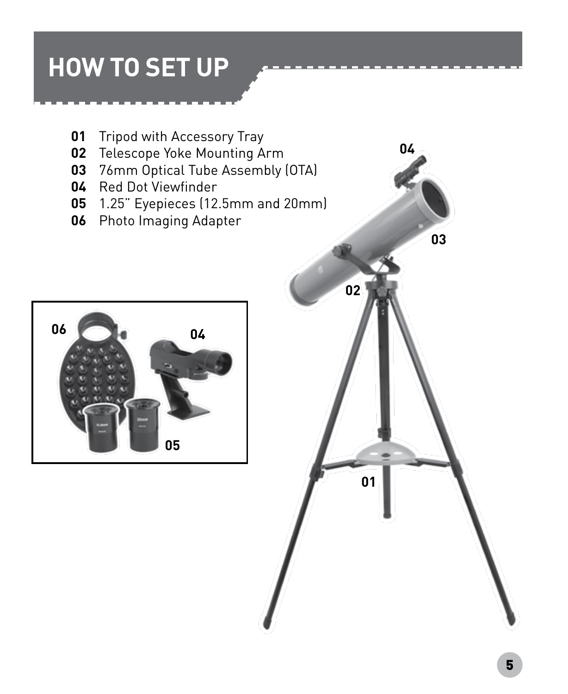## **HOW TO SET UP**

- Tripod with Accessory Tray
- 02 Telescope Yoke Mounting Arm
- 76mm Optical Tube Assembly (OTA)
- 04 Red Dot Viewfinder
- 1.25" Eyepieces (12.5mm and 20mm)
- 06 Photo Imaging Adapter



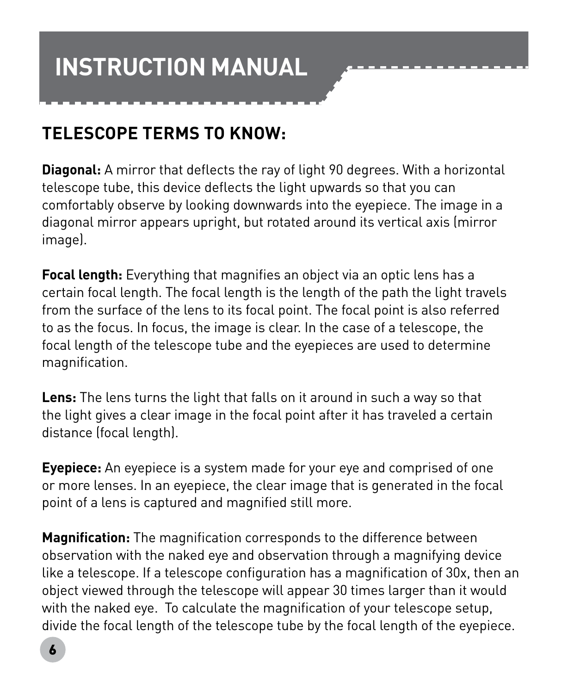## **INSTRUCTION MANUAL**

### **TELESCOPE TERMS TO KNOW:**

**Diagonal:** A mirror that deflects the ray of light 90 degrees. With a horizontal telescope tube, this device deflects the light upwards so that you can comfortably observe by looking downwards into the eyepiece. The image in a diagonal mirror appears upright, but rotated around its vertical axis (mirror image).

**Focal length:** Everything that magnifies an object via an optic lens has a certain focal length. The focal length is the length of the path the light travels from the surface of the lens to its focal point. The focal point is also referred to as the focus. In focus, the image is clear. In the case of a telescope, the focal length of the telescope tube and the eyepieces are used to determine magnification.

**Lens:** The lens turns the light that falls on it around in such a way so that the light gives a clear image in the focal point after it has traveled a certain distance (focal length).

**Eyepiece:** An eyepiece is a system made for your eye and comprised of one or more lenses. In an eyepiece, the clear image that is generated in the focal point of a lens is captured and magnified still more.

**Magnification:** The magnification corresponds to the difference between observation with the naked eye and observation through a magnifying device like a telescope. If a telescope configuration has a magnification of 30x, then an object viewed through the telescope will appear 30 times larger than it would with the naked eye. To calculate the magnification of your telescope setup, divide the focal length of the telescope tube by the focal length of the eyepiece.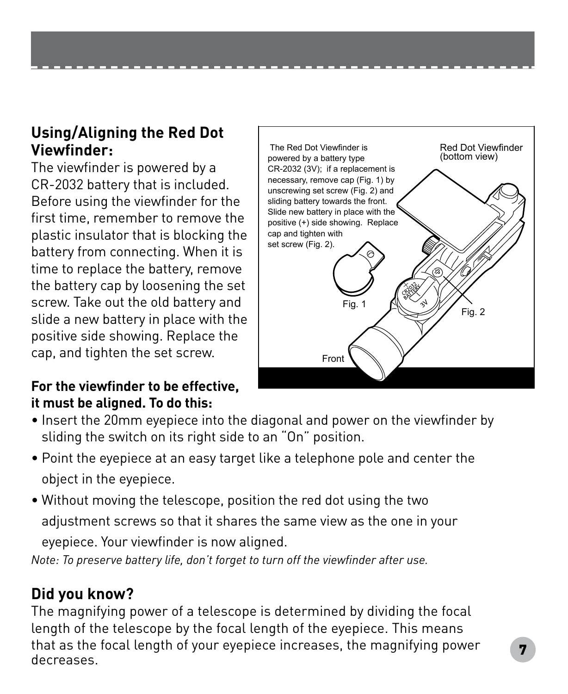#### **Using/Aligning the Red Dot Viewfinder:**

The viewfinder is powered by a CR-2032 battery that is included. Before using the viewfinder for the first time, remember to remove the plastic insulator that is blocking the battery from connecting. When it is time to replace the battery, remove the battery cap by loosening the set screw. Take out the old battery and slide a new battery in place with the positive side showing. Replace the cap, and tighten the set screw.

#### **For the viewfinder to be effective, it must be aligned. To do this:**



- Insert the 20mm eyepiece into the diagonal and power on the viewfinder by sliding the switch on its right side to an "On" position.
- Point the eyepiece at an easy target like a telephone pole and center the object in the eyepiece.
- Without moving the telescope, position the red dot using the two adjustment screws so that it shares the same view as the one in your eyepiece. Your viewfinder is now aligned.

*Note: To preserve battery life, don't forget to turn off the viewfinder after use.* 

#### **Did you know?**

The magnifying power of a telescope is determined by dividing the focal length of the telescope by the focal length of the eyepiece. This means that as the focal length of your eyepiece increases, the magnifying power decreases.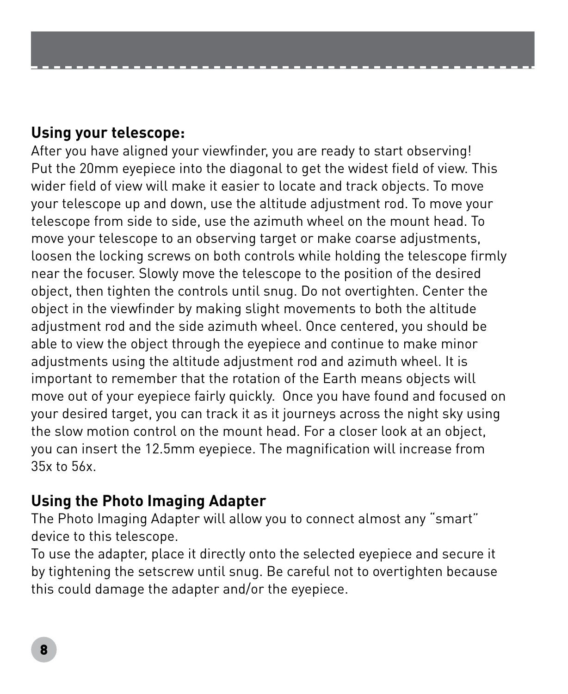#### **Using your telescope:**

After you have aligned your viewfinder, you are ready to start observing! Put the 20mm eyepiece into the diagonal to get the widest field of view. This wider field of view will make it easier to locate and track objects. To move your telescope up and down, use the altitude adjustment rod. To move your telescope from side to side, use the azimuth wheel on the mount head. To move your telescope to an observing target or make coarse adjustments, loosen the locking screws on both controls while holding the telescope firmly near the focuser. Slowly move the telescope to the position of the desired object, then tighten the controls until snug. Do not overtighten. Center the object in the viewfinder by making slight movements to both the altitude adjustment rod and the side azimuth wheel. Once centered, you should be able to view the object through the eyepiece and continue to make minor adjustments using the altitude adjustment rod and azimuth wheel. It is important to remember that the rotation of the Earth means objects will move out of your eyepiece fairly quickly. Once you have found and focused on your desired target, you can track it as it journeys across the night sky using the slow motion control on the mount head. For a closer look at an object, you can insert the 12.5mm eyepiece. The magnification will increase from 35x to 56x.

#### **Using the Photo Imaging Adapter**

The Photo Imaging Adapter will allow you to connect almost any "smart" device to this telescope.

To use the adapter, place it directly onto the selected eyepiece and secure it by tightening the setscrew until snug. Be careful not to overtighten because this could damage the adapter and/or the eyepiece.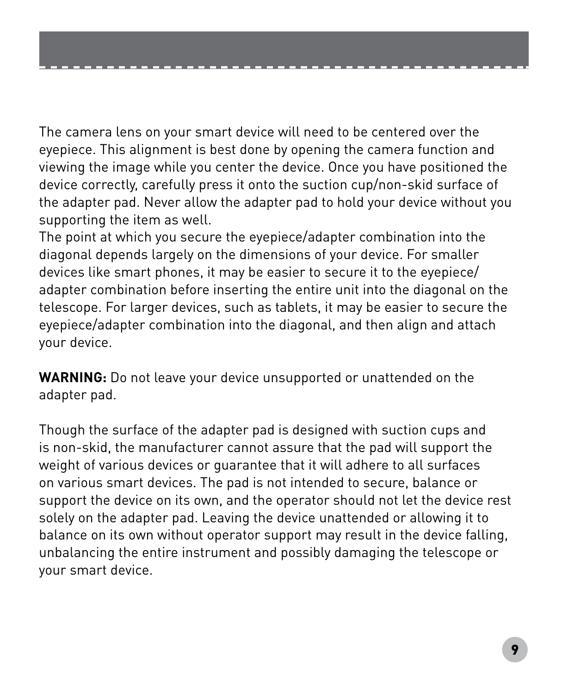The camera lens on your smart device will need to be centered over the eyepiece. This alignment is best done by opening the camera function and viewing the image while you center the device. Once you have positioned the device correctly, carefully press it onto the suction cup/non-skid surface of the adapter pad. Never allow the adapter pad to hold your device without you supporting the item as well.

The point at which you secure the eyepiece/adapter combination into the diagonal depends largely on the dimensions of your device. For smaller devices like smart phones, it may be easier to secure it to the eyepiece/ adapter combination before inserting the entire unit into the diagonal on the telescope. For larger devices, such as tablets, it may be easier to secure the eyepiece/adapter combination into the diagonal, and then align and attach your device.

**WARNING:** Do not leave your device unsupported or unattended on the adapter pad.

Though the surface of the adapter pad is designed with suction cups and is non-skid, the manufacturer cannot assure that the pad will support the weight of various devices or guarantee that it will adhere to all surfaces on various smart devices. The pad is not intended to secure, balance or support the device on its own, and the operator should not let the device rest solely on the adapter pad. Leaving the device unattended or allowing it to balance on its own without operator support may result in the device falling, unbalancing the entire instrument and possibly damaging the telescope or your smart device.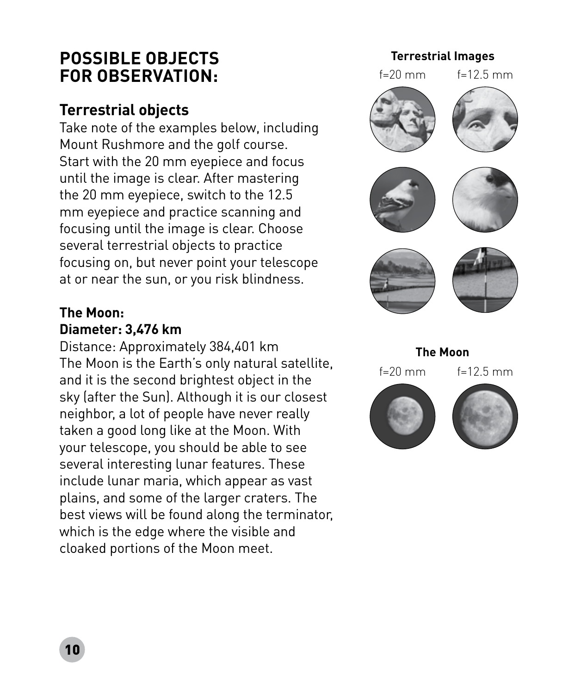#### **POSSIBLE OBJECTS FOR OBSERVATION:**

#### **Terrestrial objects**

Take note of the examples below, including Mount Rushmore and the golf course. Start with the 20 mm eyepiece and focus until the image is clear. After mastering the 20 mm eyepiece, switch to the 12.5 mm eyepiece and practice scanning and focusing until the image is clear. Choose several terrestrial objects to practice focusing on, but never point your telescope at or near the sun, or you risk blindness.

#### **The Moon: Diameter: 3,476 km**

Distance: Approximately 384,401 km The Moon is the Earth's only natural satellite, and it is the second brightest object in the sky (after the Sun). Although it is our closest neighbor, a lot of people have never really taken a good long like at the Moon. With your telescope, you should be able to see several interesting lunar features. These include lunar maria, which appear as vast plains, and some of the larger craters. The best views will be found along the terminator, which is the edge where the visible and cloaked portions of the Moon meet.



## **The Moon**



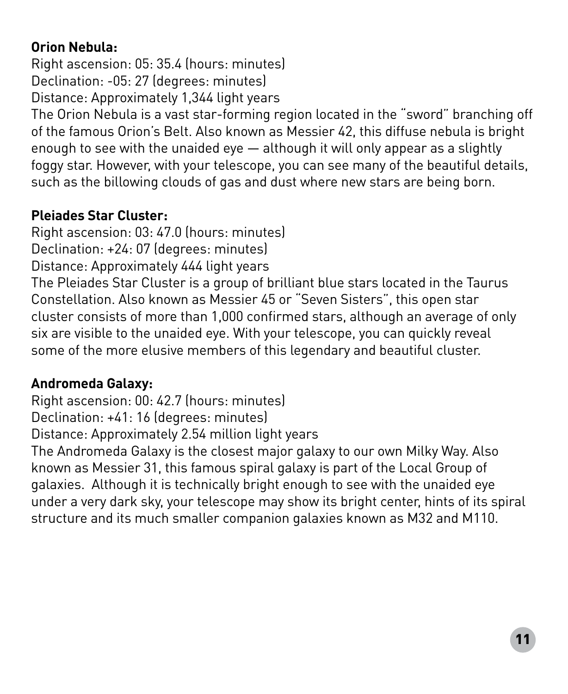#### **Orion Nebula:**

Right ascension: 05: 35.4 (hours: minutes) Declination: -05: 27 (degrees: minutes)

Distance: Approximately 1,344 light years

The Orion Nebula is a vast star-forming region located in the "sword" branching off of the famous Orion's Belt. Also known as Messier 42, this diffuse nebula is bright enough to see with the unaided eye — although it will only appear as a slightly foggy star. However, with your telescope, you can see many of the beautiful details, such as the billowing clouds of gas and dust where new stars are being born.

#### **Pleiades Star Cluster:**

Right ascension: 03: 47.0 (hours: minutes) Declination: +24: 07 (degrees: minutes)

Distance: Approximately 444 light years

The Pleiades Star Cluster is a group of brilliant blue stars located in the Taurus Constellation. Also known as Messier 45 or "Seven Sisters", this open star cluster consists of more than 1,000 confirmed stars, although an average of only six are visible to the unaided eye. With your telescope, you can quickly reveal some of the more elusive members of this legendary and beautiful cluster.

#### **Andromeda Galaxy:**

Right ascension: 00: 42.7 (hours: minutes) Declination: +41: 16 (degrees: minutes) Distance: Approximately 2.54 million light years The Andromeda Galaxy is the closest major galaxy to our own Milky Way. Also known as Messier 31, this famous spiral galaxy is part of the Local Group of galaxies. Although it is technically bright enough to see with the unaided eye under a very dark sky, your telescope may show its bright center, hints of its spiral structure and its much smaller companion galaxies known as M32 and M110.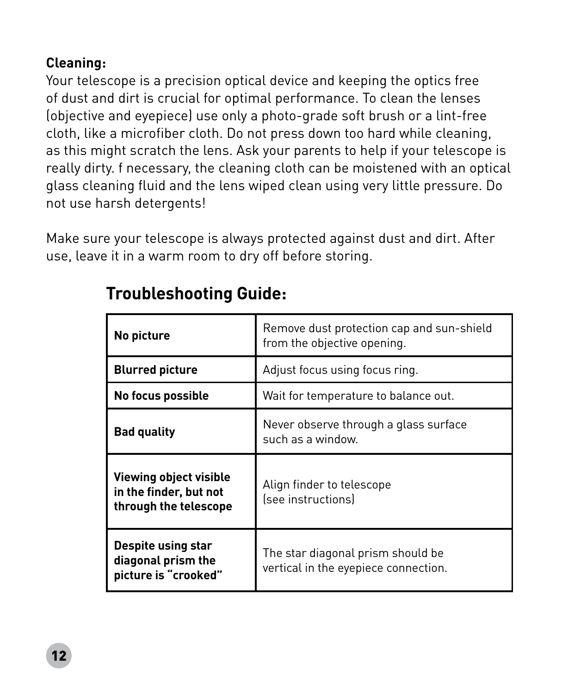#### **Cleaning:**

Your telescope is a precision optical device and keeping the optics free of dust and dirt is crucial for optimal performance. To clean the lenses (objective and eyepiece) use only a photo-grade soft brush or a lint-free cloth, like a microfiber cloth. Do not press down too hard while cleaning, as this might scratch the lens. Ask your parents to help if your telescope is really dirty. f necessary, the cleaning cloth can be moistened with an optical glass cleaning fluid and the lens wiped clean using very little pressure. Do not use harsh detergents!

Make sure your telescope is always protected against dust and dirt. After use, leave it in a warm room to dry off before storing.

| No picture                                                                | Remove dust protection cap and sun-shield<br>from the objective opening.  |
|---------------------------------------------------------------------------|---------------------------------------------------------------------------|
| <b>Blurred picture</b>                                                    | Adjust focus using focus ring.                                            |
| No focus possible                                                         | Wait for temperature to balance out.                                      |
| <b>Bad quality</b>                                                        | Never observe through a glass surface<br>such as a window.                |
| Viewing object visible<br>in the finder, but not<br>through the telescope | Align finder to telescope<br>(see instructions)                           |
| Despite using star<br>diagonal prism the<br>picture is "crooked"          | The star diagonal prism should be<br>vertical in the eyepiece connection. |

#### **Troubleshooting Guide:**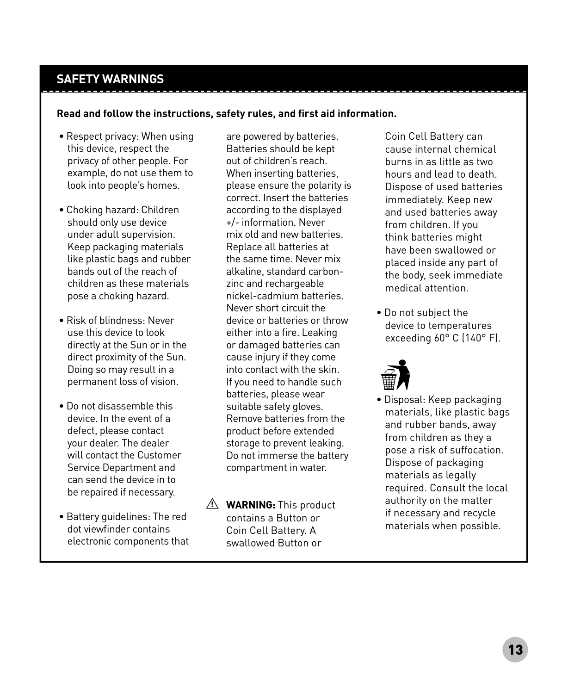#### **SAFETY WARNINGS**

#### **Read and follow the instructions, safety rules, and first aid information.**

- Respect privacy: When using this device, respect the privacy of other people. For example, do not use them to look into people's homes.
- Choking hazard: Children should only use device under adult supervision. Keep packaging materials like plastic bags and rubber bands out of the reach of children as these materials pose a choking hazard.
- Risk of blindness: Never use this device to look directly at the Sun or in the direct proximity of the Sun. Doing so may result in a permanent loss of vision.
- Do not disassemble this device. In the event of a defect, please contact your dealer. The dealer will contact the Customer Service Department and can send the device in to be repaired if necessary.
- Battery guidelines: The red dot viewfinder contains electronic components that

are powered by batteries. Batteries should be kept out of children's reach. When inserting batteries, please ensure the polarity is correct. Insert the batteries according to the displayed +/- information. Never mix old and new batteries. Replace all batteries at the same time. Never mix alkaline, standard carbonzinc and rechargeable nickel-cadmium batteries. Never short circuit the device or batteries or throw either into a fire. Leaking or damaged batteries can cause injury if they come into contact with the skin. If you need to handle such batteries, please wear suitable safety gloves. Remove batteries from the product before extended storage to prevent leaking. Do not immerse the battery compartment in water.

**WARNING:** This product **!**contains a Button or Coin Cell Battery. A swallowed Button or

Coin Cell Battery can cause internal chemical burns in as little as two hours and lead to death. Dispose of used batteries immediately. Keep new and used batteries away from children. If you think batteries might have been swallowed or placed inside any part of the body, seek immediate medical attention.

• Do not subject the device to temperatures exceeding 60° C (140° F).



• Disposal: Keep packaging materials, like plastic bags and rubber bands, away from children as they a pose a risk of suffocation. Dispose of packaging materials as legally required. Consult the local authority on the matter if necessary and recycle materials when possible.